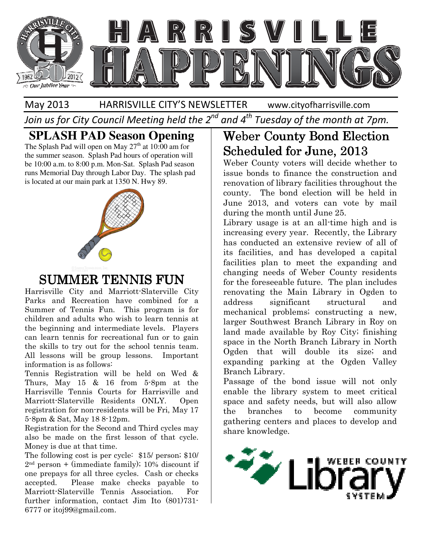

#### May 2013 HARRISVILLE CITY'S NEWSLETTER

www.cityofharrisville.com

Join us for City Council Meeting held the 2<sup>nd</sup> and 4<sup>th</sup> Tuesday of the month at 7pm.

#### **SPLASH PAD Season Opening**

The Splash Pad will open on May  $27<sup>th</sup>$  at 10:00 am for the summer season. Splash Pad hours of operation will be 10:00 a.m. to 8:00 p.m. Mon-Sat. Splash Pad season runs Memorial Day through Labor Day. The splash pad the summer season. Splash Pad hours of opera<br>be 10:00 a.m. to 8:00 p.m. Mon-Sat. Splash Pa<br>runs Memorial Day through Labor Day. The s<br>is located at our main park at 1350 N. Hwy 89.



### SUMMER TENNIS FUN

Harrisville City and Marriott-Slaterville Slaterville City Parks and Recreation have combined for a Summer of Tennis Fun. This program is for children and adults who wish to learn tennis at the beginning and intermediate levels. Players can learn tennis for recreational fun or to gain the skills to try out for the school tennis team. All lessons will be group lessons. Important information is as follows: recreation have combined for a<br>
mer of Tennis Fun. This program is for<br>
dren and adults who wish to learn tennis at<br>
beginning and intermediate levels. Players<br>
learn tennis for recreational fun or to gain<br>
skills to try o

Tennis Registration will be held on Wed & Thurs, May 15 & 16 from 5-8pm at the Harrisville Tennis Courts for Harrisville and Marriott-Slaterville Residents ONLY. Open registration for non-residents will be Fri, May 17 5-8pm & Sat, May 18 8-12pm.

Registration for the Second and Third cycles may also be made on the first lesson of that cycle. Money is due at that time.

The following cost is per cycle: \$15/ person; \$10/  $2<sup>nd</sup> person + (immediate family); 10% discount if$ one prepays for all three cycles. Cash or checks accepted. Please make checks payable to Marriott-Slaterville Tennis Association. For further information, contact Jim Ito (801)731 6777 or itoj99@gmail.com.

## Weber County Bond Election Election Scheduled for June, 2013 2013

Weber County voters will decide whether to issue bonds to finance the construction and renovation of library facilities throughout the county. The bond election will be held in June 2013, and voters can vote by mail during the month until June 25. Weber County voters will decide whether to issue bonds to finance the construction and renovation of library facilities throughout the county. The bond election will be held in June 2013, and voters can vote by mail during

Library usage is at an all-time high and is increasing every year. Recently, the Library has conducted an extensive review of all of its facilities, and has developed a capital facilities plan to meet the expanding and changing needs of Weber County residents for the foreseeable future. The plan includes renovating the Main Library in Ogden to address significant structural and mechanical problems; constructing a new, larger Southwest Branch Library in Roy on land made available by Roy City; finishing space in the North Branch Library in North Ogden that will double its size; and expanding parking at the Ogden Valley Branch Library. has conducted an extensive review of all of<br>its facilities, and has developed a capital<br>facilities plan to meet the expanding and<br>changing needs of Weber County residents<br>for the foreseeable future. The plan includes<br>renov

Passage of the bond issue will not only enable the library system to meet critical space and safety needs, but will also allow the branches to become community gathering centers and places to develop and share knowledge. land made available by Roy City; finishing<br>space in the North Branch Library in North<br>Ogden that will double its size; and<br>expanding parking at the Ogden Valley<br>Branch Library.<br>Passage of the bond issue will not only<br>enabl